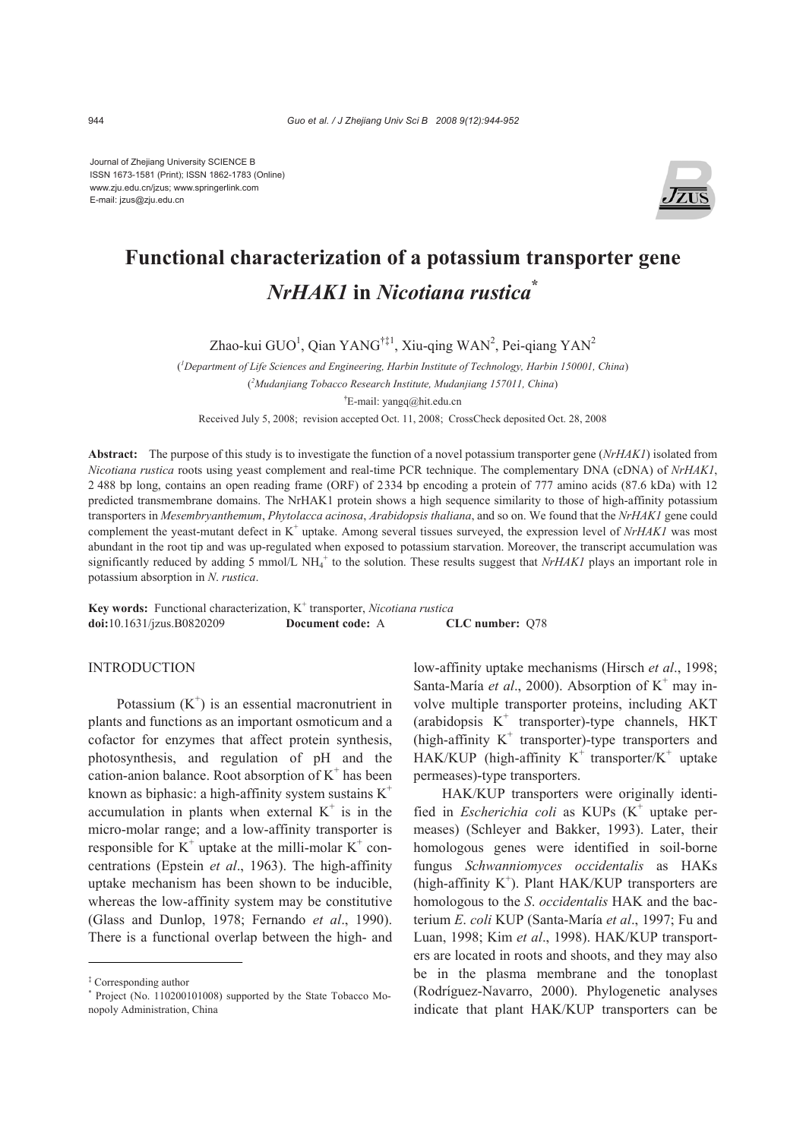Journal of Zhejiang University SCIENCE B ISSN 1673-1581 (Print); ISSN 1862-1783 (Online) www.zju.edu.cn/jzus; www.springerlink.com E-mail: jzus@zju.edu.cn



# **Functional characterization of a potassium transporter gene**  *NrHAK1* **in** *Nicotiana rustica***\***

Zhao-kui GUO<sup>1</sup>, Qian YANG<sup>†‡1</sup>, Xiu-qing WAN<sup>2</sup>, Pei-qiang YAN<sup>2</sup>

( *1 Department of Life Sciences and Engineering, Harbin Institute of Technology, Harbin 150001, China*)

( *2 Mudanjiang Tobacco Research Institute, Mudanjiang 157011, China*)

**†** E-mail: yangq@hit.edu.cn

Received July 5, 2008; revision accepted Oct. 11, 2008; CrossCheck deposited Oct. 28, 2008

**Abstract:** The purpose of this study is to investigate the function of a novel potassium transporter gene (*NrHAK1*) isolated from *Nicotiana rustica* roots using yeast complement and real-time PCR technique. The complementary DNA (cDNA) of *NrHAK1*, 2 488 bp long, contains an open reading frame (ORF) of 2334 bp encoding a protein of 777 amino acids (87.6 kDa) with 12 predicted transmembrane domains. The NrHAK1 protein shows a high sequence similarity to those of high-affinity potassium transporters in *Mesembryanthemum*, *Phytolacca acinosa*, *Arabidopsis thaliana*, and so on. We found that the *NrHAK1* gene could complement the yeast-mutant defect in  $K^+$  uptake. Among several tissues surveyed, the expression level of *NrHAK1* was most abundant in the root tip and was up-regulated when exposed to potassium starvation. Moreover, the transcript accumulation was significantly reduced by adding 5 mmol/L NH<sub>4</sub><sup>+</sup> to the solution. These results suggest that *NrHAK1* plays an important role in potassium absorption in *N*. *rustica*.

Key words: Functional characterization, K<sup>+</sup> transporter, *Nicotiana rustica* **doi:**10.1631/jzus.B0820209 **Document code:** A **CLC number:** Q78

# INTRODUCTION

Potassium  $(K^+)$  is an essential macronutrient in plants and functions as an important osmoticum and a cofactor for enzymes that affect protein synthesis, photosynthesis, and regulation of pH and the cation-anion balance. Root absorption of  $K^+$  has been known as biphasic: a high-affinity system sustains  $K^+$ accumulation in plants when external  $K^+$  is in the micro-molar range; and a low-affinity transporter is responsible for  $K^+$  uptake at the milli-molar  $K^+$  concentrations (Epstein *et al*., 1963). The high-affinity uptake mechanism has been shown to be inducible, whereas the low-affinity system may be constitutive (Glass and Dunlop, 1978; Fernando *et al*., 1990). There is a functional overlap between the high- and

low-affinity uptake mechanisms (Hirsch *et al*., 1998; Santa-María et al., 2000). Absorption of K<sup>+</sup> may involve multiple transporter proteins, including AKT (arabidopsis  $K^+$  transporter)-type channels, HKT (high-affinity  $K^+$  transporter)-type transporters and  $HAK/KUP$  (high-affinity K<sup>+</sup> transporter/K<sup>+</sup> uptake permeases)-type transporters.

HAK/KUP transporters were originally identified in *Escherichia coli* as KUPs (K<sup>+</sup> uptake permeases) (Schleyer and Bakker, 1993). Later, their homologous genes were identified in soil-borne fungus *Schwanniomyces occidentalis* as HAKs (high-affinity  $K^+$ ). Plant HAK/KUP transporters are homologous to the *S*. *occidentalis* HAK and the bacterium *E*. *coli* KUP (Santa-María *et al*., 1997; Fu and Luan, 1998; Kim *et al*., 1998). HAK/KUP transporters are located in roots and shoots, and they may also be in the plasma membrane and the tonoplast (Rodríguez-Navarro, 2000). Phylogenetic analyses indicate that plant HAK/KUP transporters can be

<sup>‡</sup> Corresponding author

<sup>\*</sup> Project (No. 110200101008) supported by the State Tobacco Monopoly Administration, China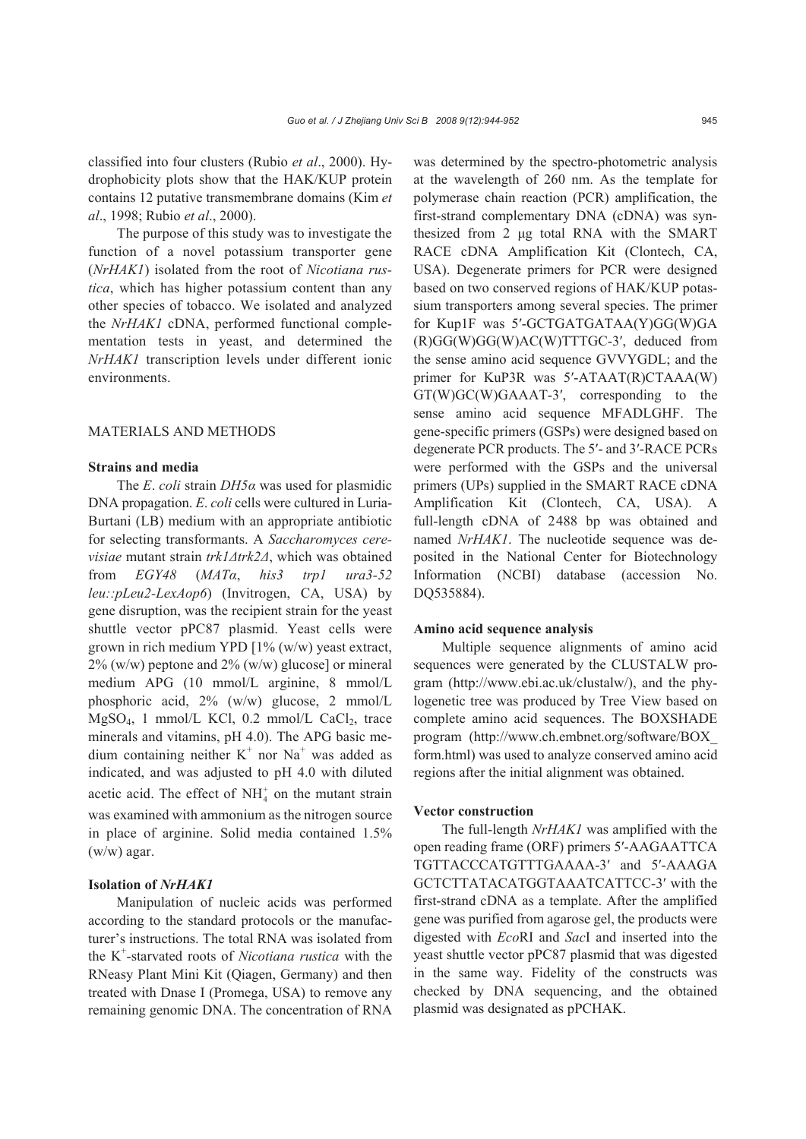classified into four clusters (Rubio *et al*., 2000). Hydrophobicity plots show that the HAK/KUP protein contains 12 putative transmembrane domains (Kim *et al*., 1998; Rubio *et al*., 2000).

The purpose of this study was to investigate the function of a novel potassium transporter gene (*NrHAK1*) isolated from the root of *Nicotiana rustica*, which has higher potassium content than any other species of tobacco. We isolated and analyzed the *NrHAK1* cDNA, performed functional complementation tests in yeast, and determined the *NrHAK1* transcription levels under different ionic environments.

#### MATERIALS AND METHODS

### **Strains and media**

The *E*. *coli* strain *DH5α* was used for plasmidic DNA propagation. *E*. *coli* cells were cultured in Luria-Burtani (LB) medium with an appropriate antibiotic for selecting transformants. A *Saccharomyces cerevisiae* mutant strain *trk1Δtrk2Δ*, which was obtained from *EGY48* (*MATα*, *his3 trp1 ura3-52 leu::pLeu2-LexAop6*) (Invitrogen, CA, USA) by gene disruption, was the recipient strain for the yeast shuttle vector pPC87 plasmid. Yeast cells were grown in rich medium YPD [1% (w/w) yeast extract,  $2\%$  (w/w) peptone and  $2\%$  (w/w) glucose] or mineral medium APG (10 mmol/L arginine, 8 mmol/L phosphoric acid, 2% (w/w) glucose, 2 mmol/L  $MgSO<sub>4</sub>$ , 1 mmol/L KCl, 0.2 mmol/L CaCl<sub>2</sub>, trace minerals and vitamins, pH 4.0). The APG basic medium containing neither  $K^+$  nor Na<sup>+</sup> was added as indicated, and was adjusted to pH 4.0 with diluted acetic acid. The effect of  $NH<sub>4</sub><sup>+</sup>$  on the mutant strain was examined with ammonium as the nitrogen source in place of arginine. Solid media contained 1.5% (w/w) agar.

# **Isolation of** *NrHAK1*

Manipulation of nucleic acids was performed according to the standard protocols or the manufacturer's instructions. The total RNA was isolated from the K+ -starvated roots of *Nicotiana rustica* with the RNeasy Plant Mini Kit (Qiagen, Germany) and then treated with Dnase I (Promega, USA) to remove any remaining genomic DNA. The concentration of RNA

was determined by the spectro-photometric analysis at the wavelength of 260 nm. As the template for polymerase chain reaction (PCR) amplification, the first-strand complementary DNA (cDNA) was synthesized from 2 μg total RNA with the SMART RACE cDNA Amplification Kit (Clontech, CA, USA). Degenerate primers for PCR were designed based on two conserved regions of HAK/KUP potassium transporters among several species. The primer for Kup1F was 5′-GCTGATGATAA(Y)GG(W)GA (R)GG(W)GG(W)AC(W)TTTGC-3′, deduced from the sense amino acid sequence GVVYGDL; and the primer for KuP3R was 5′-ATAAT(R)CTAAA(W) GT(W)GC(W)GAAAT-3′, corresponding to the sense amino acid sequence MFADLGHF. The gene-specific primers (GSPs) were designed based on degenerate PCR products. The 5′- and 3′-RACE PCRs were performed with the GSPs and the universal primers (UPs) supplied in the SMART RACE cDNA Amplification Kit (Clontech, CA, USA). A full-length cDNA of 2488 bp was obtained and named *NrHAK1*. The nucleotide sequence was deposited in the National Center for Biotechnology Information (NCBI) database (accession No. DQ535884).

#### **Amino acid sequence analysis**

Multiple sequence alignments of amino acid sequences were generated by the CLUSTALW program (http://www.ebi.ac.uk/clustalw/), and the phylogenetic tree was produced by Tree View based on complete amino acid sequences. The BOXSHADE program (http://www.ch.embnet.org/software/BOX\_ form.html) was used to analyze conserved amino acid regions after the initial alignment was obtained.

#### **Vector construction**

The full-length *NrHAK1* was amplified with the open reading frame (ORF) primers 5′-AAGAATTCA TGTTACCCATGTTTGAAAA-3′ and 5′-AAAGA GCTCTTATACATGGTAAATCATTCC-3′ with the first-strand cDNA as a template. After the amplified gene was purified from agarose gel, the products were digested with *Eco*RI and *Sac*I and inserted into the yeast shuttle vector pPC87 plasmid that was digested in the same way. Fidelity of the constructs was checked by DNA sequencing, and the obtained plasmid was designated as pPCHAK.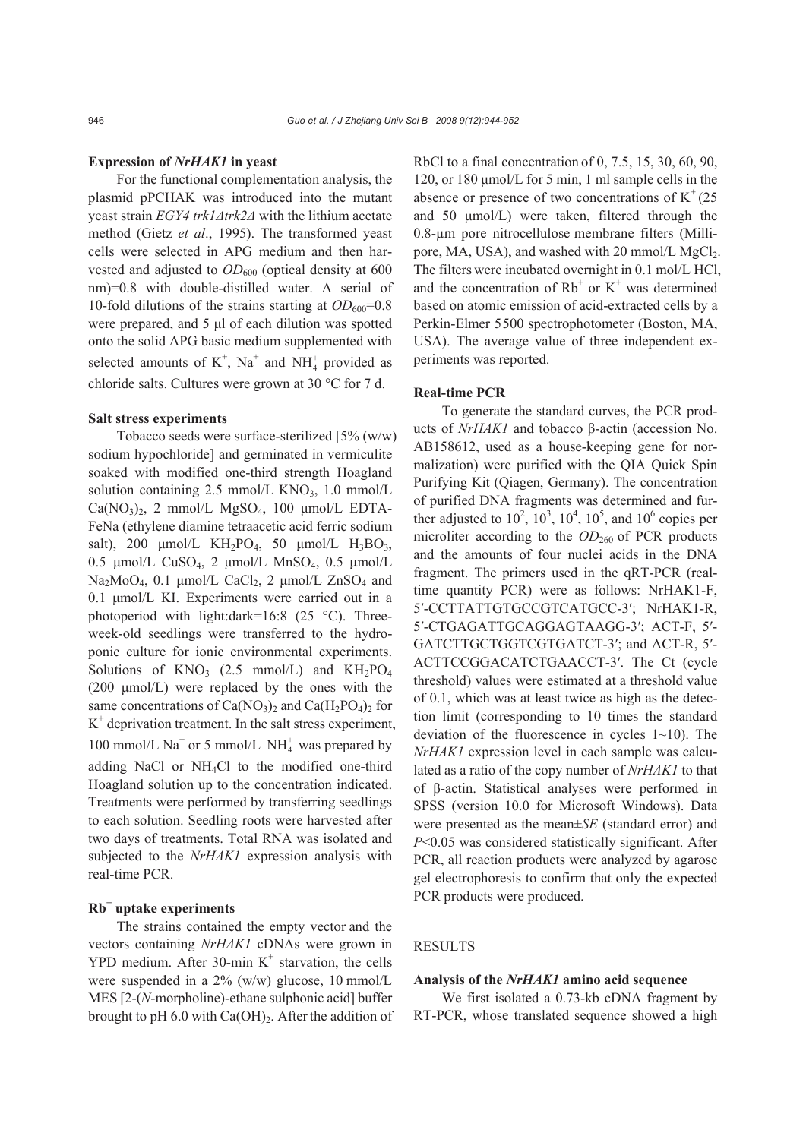#### **Expression of** *NrHAK1* **in yeast**

For the functional complementation analysis, the plasmid pPCHAK was introduced into the mutant yeast strain *EGY4 trk1Δtrk2Δ* with the lithium acetate method (Gietz *et al*., 1995). The transformed yeast cells were selected in APG medium and then harvested and adjusted to  $OD_{600}$  (optical density at 600 nm)=0.8 with double-distilled water. A serial of 10-fold dilutions of the strains starting at  $OD_{600}=0.8$ were prepared, and 5 μl of each dilution was spotted onto the solid APG basic medium supplemented with selected amounts of  $K^+$ , Na<sup>+</sup> and NH<sup>+</sup><sub>4</sub> provided as chloride salts. Cultures were grown at 30 °C for 7 d.

#### **Salt stress experiments**

Tobacco seeds were surface-sterilized [5% (w/w) sodium hypochloride] and germinated in vermiculite soaked with modified one-third strength Hoagland solution containing 2.5 mmol/L KNO<sub>3</sub>, 1.0 mmol/L  $Ca(NO<sub>3</sub>)<sub>2</sub>$ , 2 mmol/L MgSO<sub>4</sub>, 100 µmol/L EDTA-FeNa (ethylene diamine tetraacetic acid ferric sodium salt), 200  $\mu$ mol/L KH<sub>2</sub>PO<sub>4</sub>, 50  $\mu$ mol/L H<sub>3</sub>BO<sub>3</sub>, 0.5 μmol/L CuSO4, 2 μmol/L MnSO4, 0.5 μmol/L  $Na<sub>2</sub>MoO<sub>4</sub>$ , 0.1 µmol/L CaCl<sub>2</sub>, 2 µmol/L ZnSO<sub>4</sub> and 0.1 μmol/L KI. Experiments were carried out in a photoperiod with light:dark=16:8 (25 °C). Threeweek-old seedlings were transferred to the hydroponic culture for ionic environmental experiments. Solutions of  $KNO_3$  (2.5 mmol/L) and  $KH_2PO_4$ (200 μmol/L) were replaced by the ones with the same concentrations of  $Ca(NO<sub>3</sub>)<sub>2</sub>$  and  $Ca(H<sub>2</sub>PO<sub>4</sub>)<sub>2</sub>$  for  $K<sup>+</sup>$  deprivation treatment. In the salt stress experiment, 100 mmol/L  $\mathrm{Na}^+$  or 5 mmol/L  $\mathrm{NH}_4^+$  was prepared by adding NaCl or NH4Cl to the modified one-third Hoagland solution up to the concentration indicated. Treatments were performed by transferring seedlings to each solution. Seedling roots were harvested after two days of treatments. Total RNA was isolated and subjected to the *NrHAK1* expression analysis with real-time PCR.

# **Rb+ uptake experiments**

The strains contained the empty vector and the vectors containing *NrHAK1* cDNAs were grown in YPD medium. After 30-min  $K^+$  starvation, the cells were suspended in a 2% (w/w) glucose, 10 mmol/L MES [2-(*N*-morpholine)-ethane sulphonic acid] buffer brought to pH 6.0 with  $Ca(OH)_{2}$ . After the addition of

RbCl to a final concentration of 0, 7.5, 15, 30, 60, 90, 120, or 180 μmol/L for 5 min, 1 ml sample cells in the absence or presence of two concentrations of  $K^+(25)$ and 50 μmol/L) were taken, filtered through the 0.8-µm pore nitrocellulose membrane filters (Millipore, MA, USA), and washed with 20 mmol/L MgCl<sub>2</sub>. The filters were incubated overnight in 0.1 mol/L HCl, and the concentration of  $Rb^+$  or  $K^+$  was determined based on atomic emission of acid-extracted cells by a Perkin-Elmer 5500 spectrophotometer (Boston, MA, USA). The average value of three independent experiments was reported.

#### **Real-time PCR**

To generate the standard curves, the PCR products of *NrHAK1* and tobacco β-actin (accession No. AB158612, used as a house-keeping gene for normalization) were purified with the QIA Quick Spin Purifying Kit (Qiagen, Germany). The concentration of purified DNA fragments was determined and further adjusted to  $10^2$ ,  $10^3$ ,  $10^4$ ,  $10^5$ , and  $10^6$  copies per microliter according to the *OD*<sub>260</sub> of PCR products and the amounts of four nuclei acids in the DNA fragment. The primers used in the qRT-PCR (realtime quantity PCR) were as follows: NrHAK1*-*F, 5′-CCTTATTGTGCCGTCATGCC-3′; NrHAK1-R, 5′-CTGAGATTGCAGGAGTAAGG-3′; ACT-F, 5′- GATCTTGCTGGTCGTGATCT-3′; and ACT-R, 5′- ACTTCCGGACATCTGAACCT-3′. The Ct (cycle threshold) values were estimated at a threshold value of 0.1, which was at least twice as high as the detection limit (corresponding to 10 times the standard deviation of the fluorescence in cycles 1~10). The *NrHAK1* expression level in each sample was calculated as a ratio of the copy number of *NrHAK1* to that of β-actin. Statistical analyses were performed in SPSS (version 10.0 for Microsoft Windows). Data were presented as the mean±*SE* (standard error) and *P*<0.05 was considered statistically significant. After PCR, all reaction products were analyzed by agarose gel electrophoresis to confirm that only the expected PCR products were produced.

## RESULTS

#### **Analysis of the** *NrHAK1* **amino acid sequence**

We first isolated a 0.73-kb cDNA fragment by RT-PCR, whose translated sequence showed a high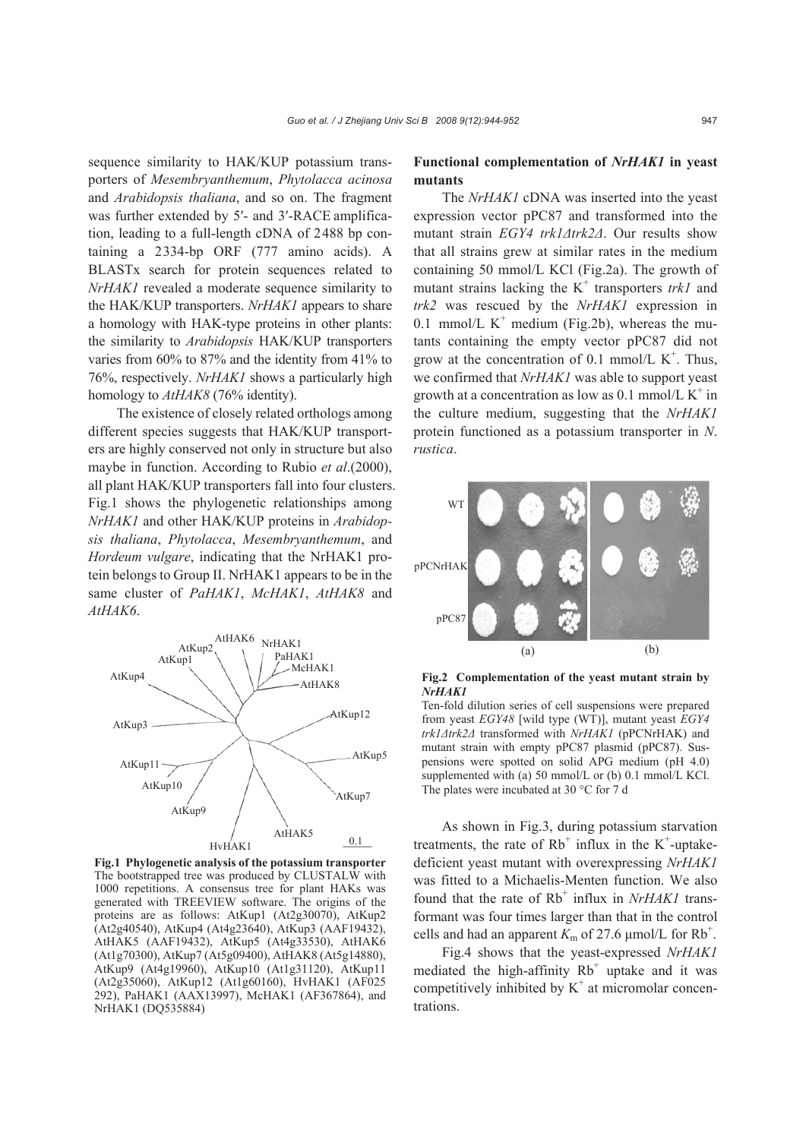sequence similarity to HAK/KUP potassium transporters of *Mesembryanthemum*, *Phytolacca acinosa* and *Arabidopsis thaliana*, and so on. The fragment was further extended by 5'- and 3'-RACE amplification, leading to a full-length cDNA of 2488 bp containing a 2334-bp ORF (777 amino acids). A BLASTx search for protein sequences related to *NrHAK1* revealed a moderate sequence similarity to the HAK/KUP transporters. *NrHAK1* appears to share a homology with HAK-type proteins in other plants: the similarity to *Arabidopsis* HAK/KUP transporters varies from 60% to 87% and the identity from 41% to 76%, respectively. *NrHAK1* shows a particularly high homology to *AtHAK8* (76% identity).

The existence of closely related orthologs among different species suggests that HAK/KUP transporters are highly conserved not only in structure but also maybe in function. According to Rubio *et al*.(2000), all plant HAK/KUP transporters fall into four clusters. Fig.1 shows the phylogenetic relationships among *NrHAK1* and other HAK/KUP proteins in *Arabidopsis thaliana*, *Phytolacca*, *Mesembryanthemum*, and *Hordeum vulgare*, indicating that the NrHAK1 protein belongs to Group II. NrHAK1 appears to be in the same cluster of *PaHAK1*, *McHAK1*, *AtHAK8* and *AtHAK6*.



**Fig.1 Phylogenetic analysis of the potassium transporter** The bootstrapped tree was produced by CLUSTALW with 1000 repetitions. A consensus tree for plant HAKs was generated with TREEVIEW software. The origins of the proteins are as follows: AtKup1 (At2g30070), AtKup2 (At2g40540), AtKup4 (At4g23640), AtKup3 (AAF19432), AtHAK5 (AAF19432), AtKup5 (At4g33530), AtHAK6 (At1g70300), AtKup7 (At5g09400), AtHAK8 (At5g14880), AtKup9 (At4g19960), AtKup10 (At1g31120), AtKup11 (At2g35060), AtKup12 (At1g60160), HvHAK1 (AF025 292), PaHAK1 (AAX13997), McHAK1 (AF367864), and NrHAK1 (DQ535884)

# **Functional complementation of** *NrHAK1* **in yeast mutants**

The *NrHAK1* cDNA was inserted into the yeast expression vector pPC87 and transformed into the mutant strain *EGY4 trk1Δtrk2Δ*. Our results show that all strains grew at similar rates in the medium containing 50 mmol/L KCl (Fig.2a). The growth of mutant strains lacking the  $K^+$  transporters *trk1* and *trk2* was rescued by the *NrHAK1* expression in 0.1 mmol/L  $K^+$  medium (Fig.2b), whereas the mutants containing the empty vector pPC87 did not grow at the concentration of 0.1 mmol/L  $K^+$ . Thus, we confirmed that *NrHAK1* was able to support yeast growth at a concentration as low as  $0.1$  mmol/L K<sup>+</sup> in the culture medium, suggesting that the *NrHAK1* protein functioned as a potassium transporter in *N*. *rustica*.



**Fig.2 Complementation of the yeast mutant strain by**  *NrHAK1*

Ten-fold dilution series of cell suspensions were prepared from yeast *EGY48* [wild type (WT)], mutant yeast *EGY4 trk1Δtrk2Δ* transformed with *NrHAK1* (pPCNrHAK) and mutant strain with empty pPC87 plasmid (pPC87). Suspensions were spotted on solid APG medium (pH 4.0) supplemented with (a) 50 mmol/L or (b) 0.1 mmol/L KCl. The plates were incubated at 30 °C for 7 d

As shown in Fig.3, during potassium starvation treatments, the rate of  $Rb^+$  influx in the  $K^+$ -uptakedeficient yeast mutant with overexpressing *NrHAK1* was fitted to a Michaelis-Menten function. We also found that the rate of Rb<sup>+</sup> influx in *NrHAK1* transformant was four times larger than that in the control cells and had an apparent  $K_m$  of 27.6 µmol/L for Rb<sup>+</sup>.

Fig.4 shows that the yeast-expressed *NrHAK1* mediated the high-affinity  $Rb^+$  uptake and it was competitively inhibited by  $K^+$  at micromolar concentrations.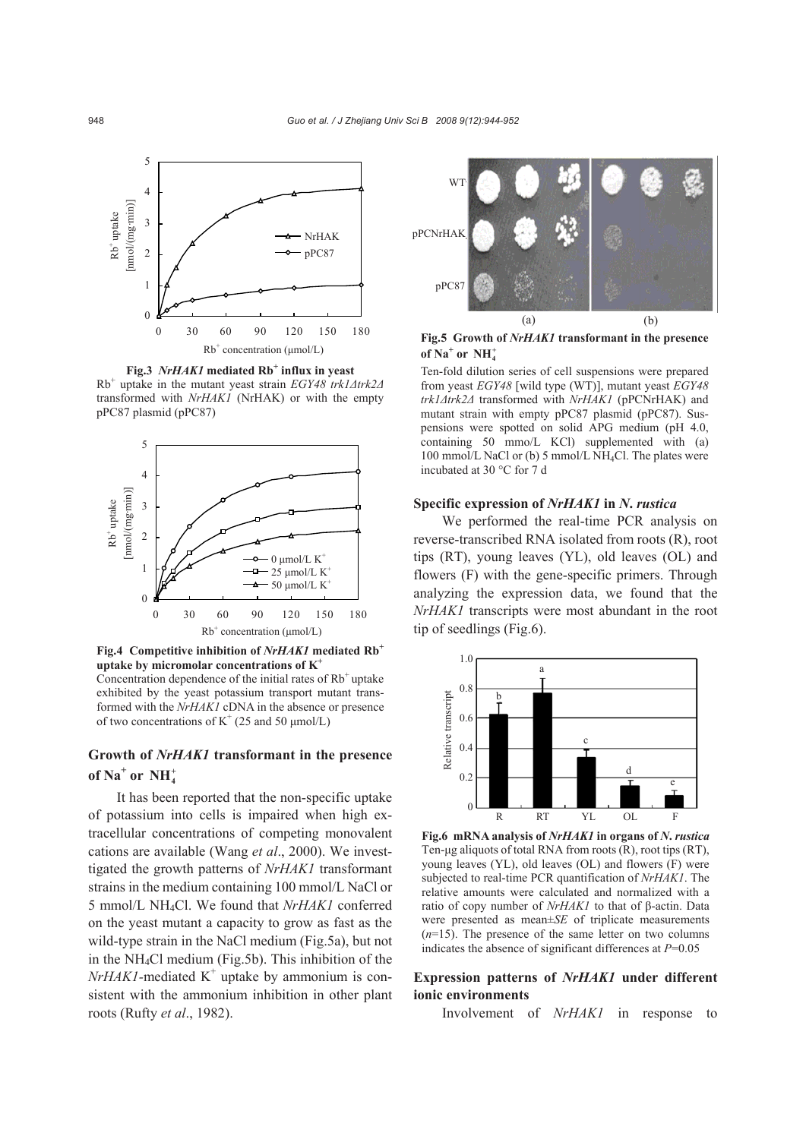

Fig.3 *NrHAK1* mediated Rb<sup>+</sup> influx in yeast

Rb+ uptake in the mutant yeast strain *EGY48 trk1Δtrk2Δ* transformed with *NrHAK1* (NrHAK) or with the empty



**Fig.4 Competitive inhibition of** *NrHAK1* **mediated Rb+ uptake by micromolar concentrations of K+**

Concentration dependence of the initial rates of  $Rb^+$ uptake exhibited by the yeast potassium transport mutant transformed with the *NrHAK1* cDNA in the absence or presence of two concentrations of  $K^+(25 \text{ and } 50 \text{ µmol/L})$ 

# **Growth of** *NrHAK1* **transformant in the presence of Na<sup>+</sup> or <sup>+</sup> NH4**

It has been reported that the non-specific uptake of potassium into cells is impaired when high extracellular concentrations of competing monovalent cations are available (Wang *et al*., 2000). We investtigated the growth patterns of *NrHAK1* transformant strains in the medium containing 100 mmol/L NaCl or 5 mmol/L NH4Cl. We found that *NrHAK1* conferred on the yeast mutant a capacity to grow as fast as the wild-type strain in the NaCl medium (Fig.5a), but not in the NH4Cl medium (Fig.5b). This inhibition of the  $NrHAKI$ -mediated  $K^+$  uptake by ammonium is consistent with the ammonium inhibition in other plant roots (Rufty *et al*., 1982).



**Fig.5 Growth of** *NrHAK1* **transformant in the presence of Na<sup>+</sup> or NH**<sup>+</sup><sub>4</sub>

Ten-fold dilution series of cell suspensions were prepared from yeast *EGY48* [wild type (WT)], mutant yeast *EGY48 trk1Δtrk2Δ* transformed with *NrHAK1* (pPCNrHAK) and mutant strain with empty pPC87 plasmid (pPC87). Suspensions were spotted on solid APG medium (pH 4.0, containing 50 mmo/L KCl) supplemented with (a) 100 mmol/L NaCl or (b) 5 mmol/L NH4Cl. The plates were incubated at 30 °C for 7 d

#### **Specific expression of** *NrHAK1* **in** *N***.** *rustica*

We performed the real-time PCR analysis on reverse-transcribed RNA isolated from roots (R), root tips (RT), young leaves (YL), old leaves (OL) and flowers (F) with the gene-specific primers. Through analyzing the expression data, we found that the *NrHAK1* transcripts were most abundant in the root tip of seedlings (Fig.6).



**Fig.6 mRNA analysis of** *NrHAK1* **in organs of** *N***.** *rustica* Ten-μg aliquots of total RNA from roots (R), root tips (RT), young leaves (YL), old leaves (OL) and flowers (F) were subjected to real-time PCR quantification of *NrHAK1*. The relative amounts were calculated and normalized with a ratio of copy number of *NrHAK1* to that of β-actin. Data were presented as mean±*SE* of triplicate measurements  $(n=15)$ . The presence of the same letter on two columns indicates the absence of significant differences at *P*=0.05

## **Expression patterns of** *NrHAK1* **under different ionic environments**

Involvement of *NrHAK1* in response to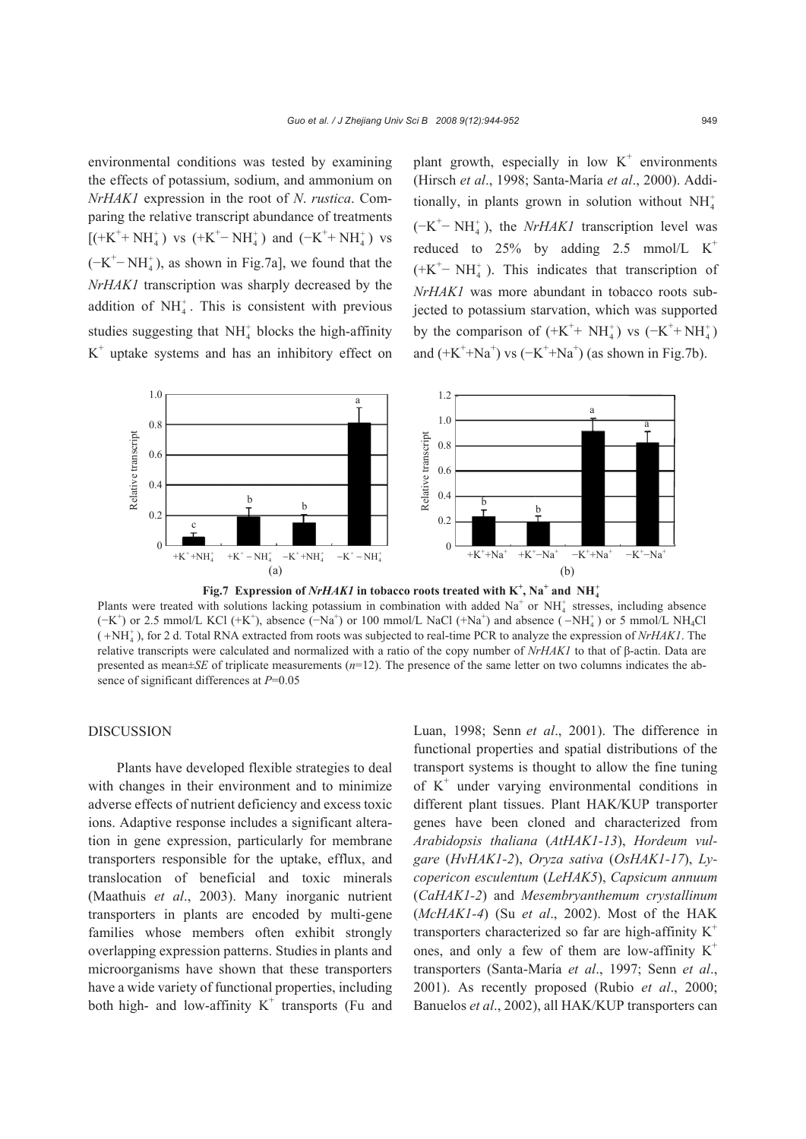environmental conditions was tested by examining the effects of potassium, sodium, and ammonium on *NrHAK1* expression in the root of *N*. *rustica*. Comparing the relative transcript abundance of treatments [(+K<sup>+</sup>+ NH<sub>4</sub><sup>+</sup>) vs (+K<sup>+</sup>- NH<sub>4</sub><sup>+</sup>) and (-K<sup>+</sup>+ NH<sub>4</sub><sup>+</sup>) vs  $(-K^+$  - NH<sup>+</sup><sub>4</sub>), as shown in Fig.7a], we found that the *NrHAK1* transcription was sharply decreased by the addition of  $NH<sub>4</sub><sup>+</sup>$ . This is consistent with previous studies suggesting that  $NH<sub>4</sub><sup>+</sup>$  blocks the high-affinity  $K<sup>+</sup>$  uptake systems and has an inhibitory effect on

plant growth, especially in low  $K^+$  environments (Hirsch *et al*., 1998; Santa-María *et al*., 2000). Additionally, in plants grown in solution without  $NH_4^+$  $(-K^+$  - NH<sup>+</sup><sub>4</sub>), the *NrHAK1* transcription level was reduced to  $25\%$  by adding 2.5 mmol/L K<sup>+</sup>  $(+K^+-NH_4^+)$ . This indicates that transcription of *NrHAK1* was more abundant in tobacco roots subjected to potassium starvation, which was supported by the comparison of  $(+K^+ + NH_4^+)$  vs  $(-K^+ + NH_4^+)$ and  $(+K^+ + Na^+)$  vs  $(-K^+ + Na^+)$  (as shown in Fig.7b).



Plants were treated with solutions lacking potassium in combination with added  $Na<sup>+</sup>$  or  $NH<sup>+</sup><sub>4</sub>$  stresses, including absence  $(-K^+)$  or 2.5 mmol/L KCl  $(+K^+)$ , absence  $(-Na^+)$  or 100 mmol/L NaCl  $(+Na^+)$  and absence  $(-NH_4^+)$  or 5 mmol/L NH<sub>4</sub>Cl  $( +NH<sub>4</sub>)$ , for 2 d. Total RNA extracted from roots was subjected to real-time PCR to analyze the expression of *NrHAK1*. The relative transcripts were calculated and normalized with a ratio of the copy number of *NrHAK1* to that of β-actin. Data are presented as mean $\pm$ *SE* of triplicate measurements ( $n=12$ ). The presence of the same letter on two columns indicates the absence of significant differences at *P*=0.05

# DISCUSSION

Plants have developed flexible strategies to deal with changes in their environment and to minimize adverse effects of nutrient deficiency and excess toxic ions. Adaptive response includes a significant alteration in gene expression, particularly for membrane transporters responsible for the uptake, efflux, and translocation of beneficial and toxic minerals (Maathuis *et al*., 2003). Many inorganic nutrient transporters in plants are encoded by multi-gene families whose members often exhibit strongly overlapping expression patterns. Studiesin plants and microorganisms have shown that these transporters have a wide variety of functional properties, including both high- and low-affinity  $K^+$  transports (Fu and Luan, 1998; Senn *et al*., 2001). The difference in functional properties and spatial distributions of the transport systems is thought to allow the fine tuning of K+ under varying environmental conditions in different plant tissues. Plant HAK/KUP transporter genes have been cloned and characterized from *Arabidopsis thaliana* (*AtHAK1-13*), *Hordeum vulgare* (*HvHAK1-2*), *Oryza sativa* (*OsHAK1-17*), *Lycopericon esculentum* (*LeHAK5*), *Capsicum annuum*  (*CaHAK1-2*) and *Mesembryanthemum crystallinum*  (*McHAK1-4*) (Su *et al*., 2002). Most of the HAK transporters characterized so far are high-affinity  $K^+$ ones, and only a few of them are low-affinity  $K^+$ transporters (Santa-María *et al*., 1997; Senn *et al*., 2001). As recently proposed (Rubio *et al*., 2000; Banuelos *et al*., 2002), all HAK/KUP transporters can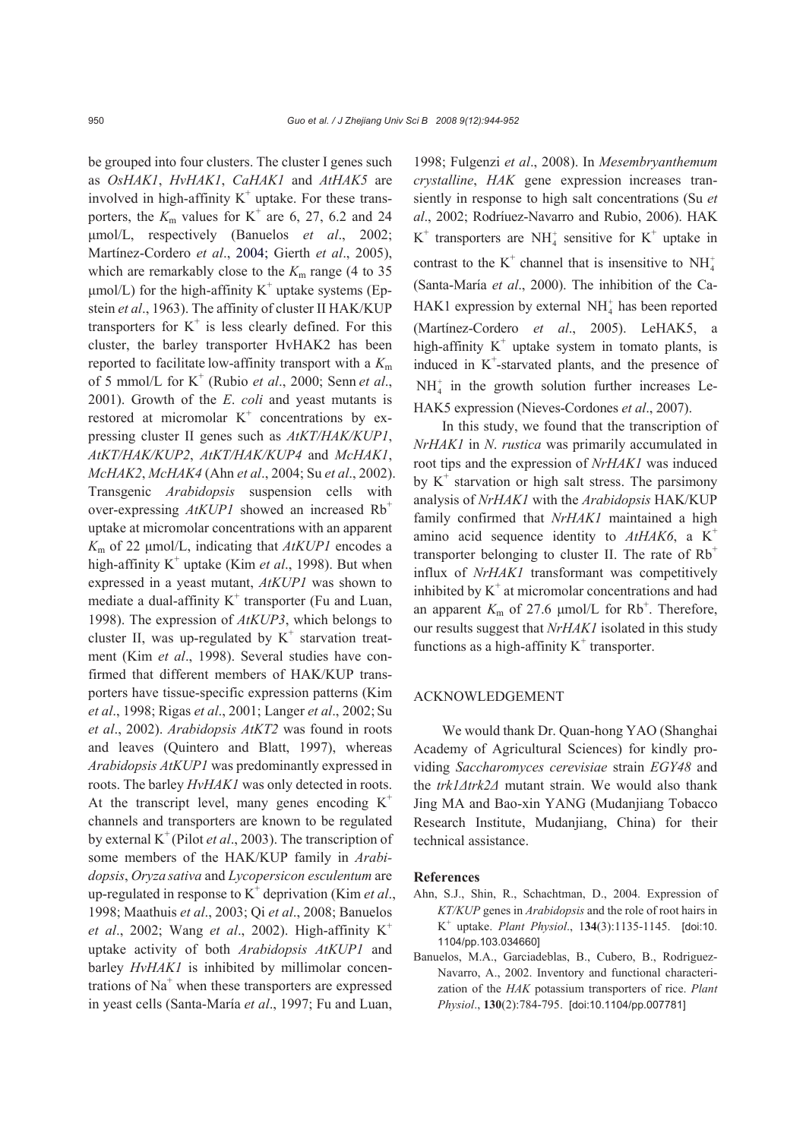be grouped into four clusters. The cluster I genes such as *OsHAK1*, *HvHAK1*, *CaHAK1* and *AtHAK5* are involved in high-affinity  $K^+$  uptake. For these transporters, the  $K_m$  values for K<sup>+</sup> are 6, 27, 6.2 and 24 μmol/L, respectively (Banuelos *et al*., 2002; Martínez-Cordero *et al*., 2004; Gierth *et al*., 2005), which are remarkably close to the  $K<sub>m</sub>$  range (4 to 35)  $\mu$ mol/L) for the high-affinity K<sup>+</sup> uptake systems (Epstein *et al*., 1963). The affinity of cluster II HAK/KUP transporters for  $K^+$  is less clearly defined. For this cluster, the barley transporter HvHAK2 has been reported to facilitate low-affinity transport with a *K*<sup>m</sup> of 5 mmol/L for K+ (Rubio *et al*., 2000; Senn *et al*., 2001). Growth of the *E*. *coli* and yeast mutants is restored at micromolar  $K^+$  concentrations by expressing cluster II genes such as *AtKT/HAK/KUP1*, *AtKT/HAK/KUP2*, *AtKT/HAK/KUP4* and *McHAK1*, *McHAK2*, *McHAK4* (Ahn *et al*., 2004; Su *et al*., 2002). Transgenic *Arabidopsis* suspension cells with over-expressing *AtKUP1* showed an increased Rb<sup>+</sup> uptake at micromolar concentrations with an apparent *K*m of 22 μmol/L, indicating that *AtKUP1* encodes a high-affinity K<sup>+</sup> uptake (Kim *et al.*, 1998). But when expressed in a yeast mutant, *AtKUP1* was shown to mediate a dual-affinity  $K^+$  transporter (Fu and Luan, 1998). The expression of *AtKUP3*, which belongs to cluster II, was up-regulated by  $K^+$  starvation treatment (Kim *et al*., 1998). Several studies have confirmed that different members of HAK/KUP transporters have tissue-specific expression patterns (Kim *et al*., 1998; Rigas *et al*., 2001; Langer *et al*., 2002; Su *et al*., 2002). *Arabidopsis AtKT2* was found in roots and leaves (Quintero and Blatt, 1997), whereas *Arabidopsis AtKUP1* was predominantly expressed in roots. The barley *HvHAK1* was only detected in roots. At the transcript level, many genes encoding  $K^+$ channels and transporters are known to be regulated by external K+ (Pilot *et al*., 2003). The transcription of some members of the HAK/KUP family in *Arabidopsis*, *Oryza sativa* and *Lycopersicon esculentum* are up-regulated in response to  $K^+$  deprivation (Kim *et al.*, 1998; Maathuis *et al*., 2003; Qi *et al*., 2008; Banuelos *et al.*, 2002; Wang *et al.*, 2002). High-affinity K<sup>+</sup> uptake activity of both *Arabidopsis AtKUP1* and barley *HvHAK1* is inhibited by millimolar concentrations of  $Na<sup>+</sup>$  when these transporters are expressed in yeast cells (Santa-María *et al*., 1997; Fu and Luan,

1998; Fulgenzi *et al*., 2008). In *Mesembryanthemum crystalline*, *HAK* gene expression increases transiently in response to high salt concentrations (Su *et al*., 2002; Rodríuez-Navarro and Rubio, 2006). HAK  $K^+$  transporters are NH<sup>+</sup> sensitive for  $K^+$  uptake in contrast to the  $K^+$  channel that is insensitive to  $NH_4^+$ (Santa-María *et al*., 2000). The inhibition of the Ca-HAK1 expression by external  $NH<sub>4</sub><sup>+</sup>$  has been reported (Martínez-Cordero *et al*., 2005). LeHAK5, a high-affinity  $K^+$  uptake system in tomato plants, is induced in  $K^+$ -starvated plants, and the presence of  $NH<sub>4</sub><sup>+</sup>$  in the growth solution further increases Le-HAK5 expression (Nieves-Cordones *et al*., 2007).

In this study, we found that the transcription of *NrHAK1* in *N*. *rustica* was primarily accumulated in root tips and the expression of *NrHAK1* was induced by  $K^+$  starvation or high salt stress. The parsimony analysis of *NrHAK1* with the *Arabidopsis* HAK/KUP family confirmed that *NrHAK1* maintained a high amino acid sequence identity to *AtHAK6*, a K+ transporter belonging to cluster II. The rate of  $Rb^+$ influx of *NrHAK1* transformant was competitively inhibited by  $K^+$  at micromolar concentrations and had an apparent  $K_m$  of 27.6  $\mu$ mol/L for Rb<sup>+</sup>. Therefore, our results suggest that *NrHAK1* isolated in this study functions as a high-affinity  $K^+$  transporter.

#### ACKNOWLEDGEMENT

We would thank Dr. Quan-hong YAO (Shanghai Academy of Agricultural Sciences) for kindly providing *Saccharomyces cerevisiae* strain *EGY48* and the *trk1Δtrk2Δ* mutant strain. We would also thank Jing MA and Bao-xin YANG (Mudanjiang Tobacco Research Institute, Mudanjiang, China) for their technical assistance.

#### **References**

- Ahn, S.J., Shin, R., Schachtman, D., 2004. Expression of *KT/KUP* genes in *Arabidopsis* and the role of root hairs in K+ uptake. *Plant Physiol*., 1**34**(3):1135-1145. [doi:10. 1104/pp.103.034660]
- Banuelos, M.A., Garciadeblas, B., Cubero, B., Rodriguez-Navarro, A., 2002. Inventory and functional characterization of the *HAK* potassium transporters of rice. *Plant Physiol*., **130**(2):784-795. [doi:10.1104/pp.007781]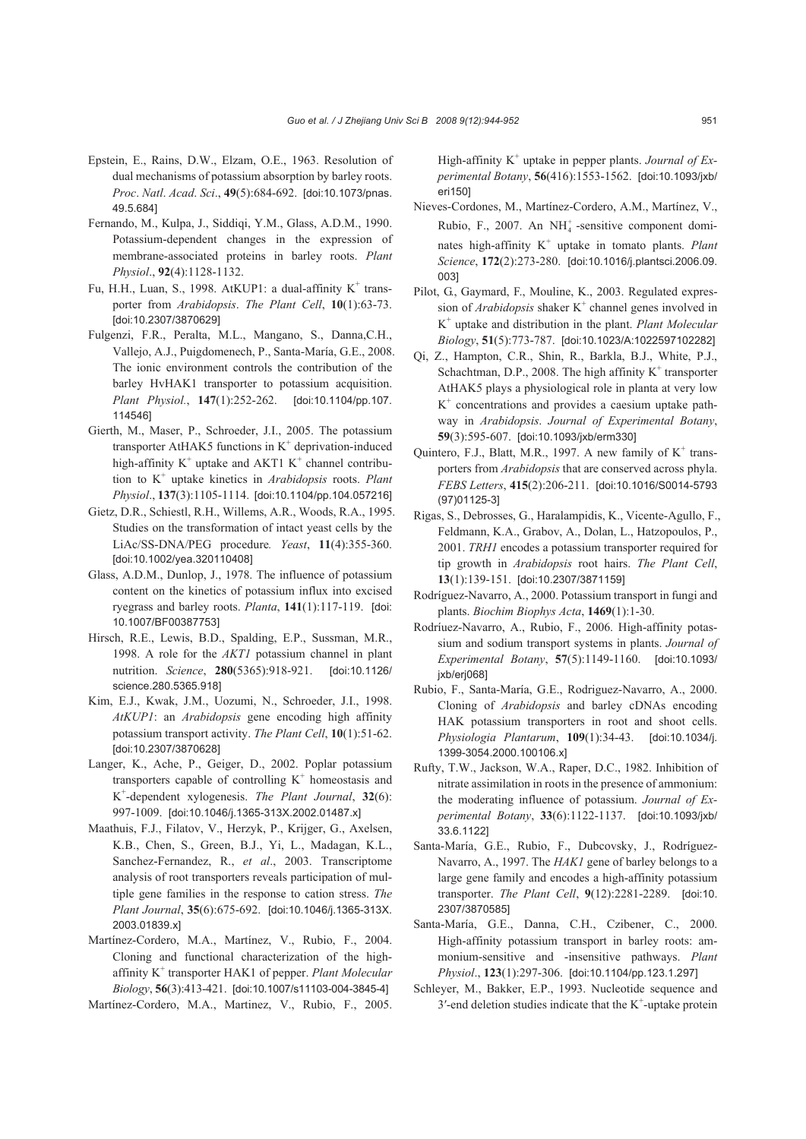- Epstein, E., Rains, D.W., Elzam, O.E., 1963. Resolution of dual mechanisms of potassium absorption by barley roots. *Proc*. *Natl*. *Acad*. *Sci*., **49**(5):684-692. [doi:10.1073/pnas. 49.5.684]
- Fernando, M., Kulpa, J., Siddiqi, Y.M., Glass, A.D.M., 1990. Potassium-dependent changes in the expression of membrane-associated proteins in barley roots. *Plant Physiol*., **92**(4):1128-1132.
- Fu, H.H., Luan, S., 1998. AtKUP1: a dual-affinity K<sup>+</sup> transporter from *Arabidopsis*. *The Plant Cell*, **10**(1):63-73. [doi:10.2307/3870629]
- Fulgenzi, F.R., Peralta, M.L., Mangano, S., Danna,C.H., Vallejo, A.J., Puigdomenech, P., Santa-María, G.E., 2008. The ionic environment controls the contribution of the barley HvHAK1 transporter to potassium acquisition. *Plant Physiol.*, **147**(1):252-262. [doi:10.1104/pp.107. 114546]
- Gierth, M., Maser, P., Schroeder, J.I., 2005. The potassium transporter AtHAK5 functions in  $K^+$  deprivation-induced high-affinity  $K^+$  uptake and AKT1  $K^+$  channel contribution to K+ uptake kinetics in *Arabidopsis* roots. *Plant Physiol*., **137**(3):1105-1114. [doi:10.1104/pp.104.057216]
- Gietz, D.R., Schiestl, R.H., Willems, A.R., Woods, R.A., 1995. Studies on the transformation of intact yeast cells by the LiAc/SS-DNA/PEG procedure*. Yeast*, **11**(4):355-360. [doi:10.1002/yea.320110408]
- Glass, A.D.M., Dunlop, J., 1978. The influence of potassium content on the kinetics of potassium influx into excised ryegrass and barley roots. *Planta*, **141**(1):117-119. [doi: 10.1007/BF00387753]
- Hirsch, R.E., Lewis, B.D., Spalding, E.P., Sussman, M.R., 1998. A role for the *AKT1* potassium channel in plant nutrition. *Science*, **280**(5365):918-921. [doi:10.1126/ science.280.5365.918]
- Kim, E.J., Kwak, J.M., Uozumi, N., Schroeder, J.I., 1998. *AtKUP1*: an *Arabidopsis* gene encoding high affinity potassium transport activity. *The Plant Cell*, **10**(1):51-62. [doi:10.2307/3870628]
- Langer, K., Ache, P., Geiger, D., 2002. Poplar potassium transporters capable of controlling  $K^+$  homeostasis and K+ -dependent xylogenesis. *The Plant Journal*, **32**(6): 997-1009. [doi:10.1046/j.1365-313X.2002.01487.x]
- Maathuis, F.J., Filatov, V., Herzyk, P., Krijger, G., Axelsen, K.B., Chen, S., Green, B.J., Yi, L., Madagan, K.L., Sanchez-Fernandez, R., *et al*., 2003. Transcriptome analysis of root transporters reveals participation of multiple gene families in the response to cation stress. *The Plant Journal*, **35**(6):675-692. [doi:10.1046/j.1365-313X. 2003.01839.x]
- Martínez-Cordero, M.A., Martínez, V., Rubio, F., 2004. Cloning and functional characterization of the highaffinity K<sup>+</sup> transporter HAK1 of pepper. *Plant Molecular Biology*, **56**(3):413-421. [doi:10.1007/s11103-004-3845-4]
- Martínez-Cordero, M.A., Martinez, V., Rubio, F., 2005.

High-affinity K<sup>+</sup> uptake in pepper plants. *Journal of Experimental Botany*, **56**(416):1553-1562. [doi:10.1093/jxb/ eri150]

- Nieves-Cordones, M., Martínez-Cordero, A.M., Martínez, V., Rubio, F., 2007. An  $NH<sub>4</sub>$  -sensitive component dominates high-affinity K<sup>+</sup> uptake in tomato plants. *Plant Science*, **172**(2):273-280. [doi:10.1016/j.plantsci.2006.09. 003]
- Pilot, G., Gaymard, F., Mouline, K., 2003. Regulated expression of *Arabidopsis* shaker K<sup>+</sup> channel genes involved in K+ uptake and distribution in the plant. *Plant Molecular Biology*, **51**(5):773-787. [doi:10.1023/A:1022597102282]
- Qi, Z., Hampton, C.R., Shin, R., Barkla, B.J., White, P.J., Schachtman, D.P., 2008. The high affinity  $K^+$  transporter AtHAK5 plays a physiological role in planta at very low  $K<sup>+</sup>$  concentrations and provides a caesium uptake pathway in *Arabidopsis*. *Journal of Experimental Botany*, **59**(3):595-607. [doi:10.1093/jxb/erm330]
- Quintero, F.J., Blatt, M.R., 1997. A new family of  $K^+$  transporters from *Arabidopsis* that are conserved across phyla. *FEBS Letters*, **415**(2):206-211. [doi:10.1016/S0014-5793 (97)01125-3]
- Rigas, S., Debrosses, G., Haralampidis, K., Vicente-Agullo, F., Feldmann, K.A., Grabov, A., Dolan, L., Hatzopoulos, P., 2001. *TRH1* encodes a potassium transporter required for tip growth in *Arabidopsis* root hairs. *The Plant Cell*, **13**(1):139-151. [doi:10.2307/3871159]
- Rodríguez-Navarro, A., 2000. Potassium transport in fungi and plants. *Biochim Biophys Acta*, **1469**(1):1-30.
- Rodríuez-Navarro, A., Rubio, F., 2006. High-affinity potassium and sodium transport systems in plants. *Journal of Experimental Botany*, **57**(5):1149-1160. [doi:10.1093/ jxb/erj068]
- Rubio, F., Santa-María, G.E., Rodriguez-Navarro, A., 2000. Cloning of *Arabidopsis* and barley cDNAs encoding HAK potassium transporters in root and shoot cells. *Physiologia Plantarum*, **109**(1):34-43. [doi:10.1034/j. 1399-3054.2000.100106.x]
- Rufty, T.W., Jackson, W.A., Raper, D.C., 1982. Inhibition of nitrate assimilation in roots in the presence of ammonium: the moderating influence of potassium. *Journal of Experimental Botany*, **33**(6):1122-1137. [doi:10.1093/jxb/ 33.6.1122]
- Santa-María, G.E., Rubio, F., Dubcovsky, J., Rodríguez-Navarro, A., 1997. The *HAK1* gene of barley belongs to a large gene family and encodes a high-affinity potassium transporter. *The Plant Cell*, **9**(12):2281-2289. [doi:10. 2307/3870585]
- Santa-María, G.E., Danna, C.H., Czibener, C., 2000. High-affinity potassium transport in barley roots: ammonium-sensitive and -insensitive pathways. *Plant Physiol*., **123**(1):297-306. [doi:10.1104/pp.123.1.297]
- Schleyer, M., Bakker, E.P., 1993. Nucleotide sequence and  $3'$ -end deletion studies indicate that the  $K^+$ -uptake protein